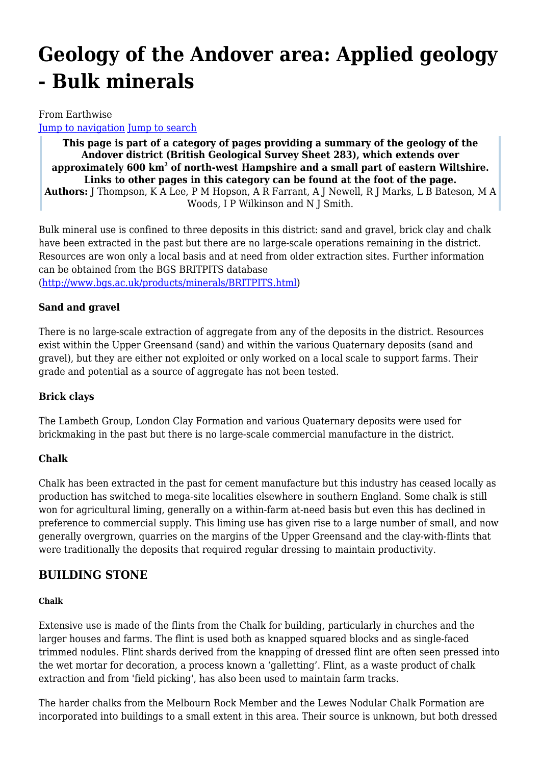# **Geology of the Andover area: Applied geology - Bulk minerals**

### From Earthwise

[Jump to navigation](#page--1-0) [Jump to search](#page--1-0)

**This page is part of a category of pages providing a summary of the geology of the Andover district (British Geological Survey Sheet 283), which extends over approximately 600 km<sup>2</sup> of north-west Hampshire and a small part of eastern Wiltshire. Links to other pages in this category can be found at the foot of the page. Authors:** J Thompson, K A Lee, P M Hopson, A R Farrant, A J Newell, R J Marks, L B Bateson, M A Woods, I P Wilkinson and N J Smith.

Bulk mineral use is confined to three deposits in this district: sand and gravel, brick clay and chalk have been extracted in the past but there are no large-scale operations remaining in the district. Resources are won only a local basis and at need from older extraction sites. Further information can be obtained from the BGS BRITPITS database

[\(http://www.bgs.ac.uk/products/minerals/BRITPITS.html\)](http://www.bgs.ac.uk/products/minerals/BRITPITS.html)

### **Sand and gravel**

There is no large-scale extraction of aggregate from any of the deposits in the district. Resources exist within the Upper Greensand (sand) and within the various Quaternary deposits (sand and gravel), but they are either not exploited or only worked on a local scale to support farms. Their grade and potential as a source of aggregate has not been tested.

### **Brick clays**

The Lambeth Group, London Clay Formation and various Quaternary deposits were used for brickmaking in the past but there is no large-scale commercial manufacture in the district.

### **Chalk**

Chalk has been extracted in the past for cement manufacture but this industry has ceased locally as production has switched to mega-site localities elsewhere in southern England. Some chalk is still won for agricultural liming, generally on a within-farm at-need basis but even this has declined in preference to commercial supply. This liming use has given rise to a large number of small, and now generally overgrown, quarries on the margins of the Upper Greensand and the clay-with-flints that were traditionally the deposits that required regular dressing to maintain productivity.

### **BUILDING STONE**

### **Chalk**

Extensive use is made of the flints from the Chalk for building, particularly in churches and the larger houses and farms. The flint is used both as knapped squared blocks and as single-faced trimmed nodules. Flint shards derived from the knapping of dressed flint are often seen pressed into the wet mortar for decoration, a process known a 'galletting'. Flint, as a waste product of chalk extraction and from 'field picking', has also been used to maintain farm tracks.

The harder chalks from the Melbourn Rock Member and the Lewes Nodular Chalk Formation are incorporated into buildings to a small extent in this area. Their source is unknown, but both dressed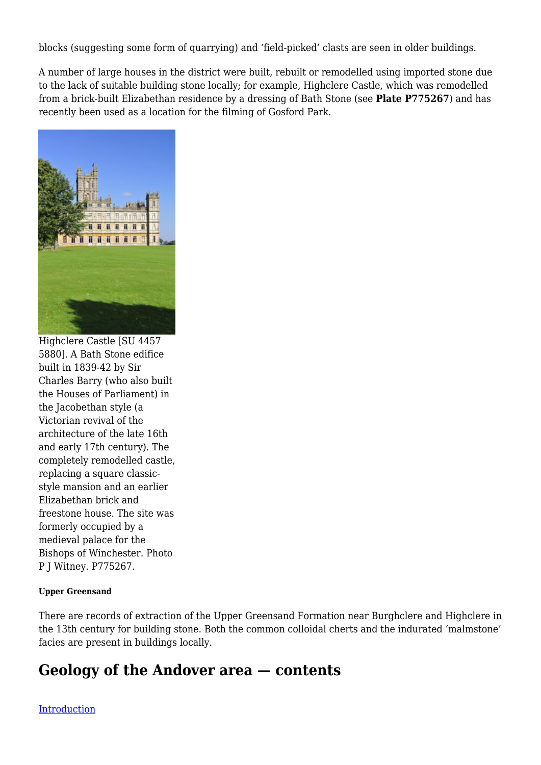blocks (suggesting some form of quarrying) and 'field-picked' clasts are seen in older buildings.

A number of large houses in the district were built, rebuilt or remodelled using imported stone due to the lack of suitable building stone locally; for example, Highclere Castle, which was remodelled from a brick-built Elizabethan residence by a dressing of Bath Stone (see **Plate P775267**) and has recently been used as a location for the filming of Gosford Park.



Highclere Castle [SU 4457 5880]. A Bath Stone edifice built in 1839-42 by Sir Charles Barry (who also built the Houses of Parliament) in the Jacobethan style (a Victorian revival of the architecture of the late 16th and early 17th century). The completely remodelled castle, replacing a square classicstyle mansion and an earlier Elizabethan brick and freestone house. The site was formerly occupied by a medieval palace for the Bishops of Winchester. Photo P J Witney. P775267.

### **Upper Greensand**

There are records of extraction of the Upper Greensand Formation near Burghclere and Highclere in the 13th century for building stone. Both the common colloidal cherts and the indurated 'malmstone' facies are present in buildings locally.

# **Geology of the Andover area — contents**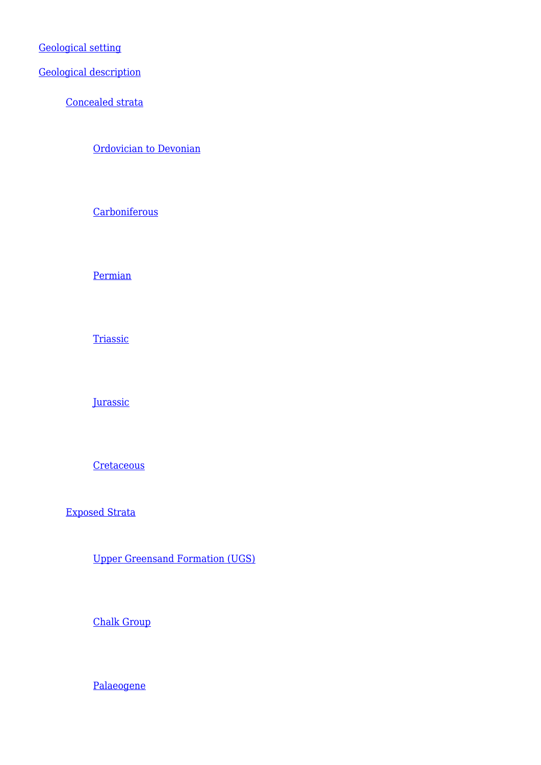[Geological setting](http://earthwise.bgs.ac.uk/index.php/Geology_of_the_Andover_area:_Geological_setting)

[Geological description](http://earthwise.bgs.ac.uk/index.php/Geology_of_the_Andover_area:_Concealed_strata)

[Concealed strata](http://earthwise.bgs.ac.uk/index.php/Geology_of_the_Andover_area:_Concealed_strata)

[Ordovician to Devonian](http://earthwise.bgs.ac.uk/index.php/Geology_of_the_Andover_area:_Concealed_strata_-_Ordovician_to_Devonian)

**[Carboniferous](http://earthwise.bgs.ac.uk/index.php/Geology_of_the_Andover_area:_Concealed_strata_-_Carboniferous)** 

[Permian](http://earthwise.bgs.ac.uk/index.php/Geology_of_the_Andover_area:_Concealed_strata_-_Permian)

**[Triassic](http://earthwise.bgs.ac.uk/index.php/Geology_of_the_Andover_area:_Concealed_strata_-_Triassic)** 

**[Jurassic](http://earthwise.bgs.ac.uk/index.php/Geology_of_the_Andover_area:_Concealed_strata_-_Jurassic)** 

**[Cretaceous](http://earthwise.bgs.ac.uk/index.php/Geology_of_the_Andover_area:_Concealed_strata_-_Cretaceous)** 

[Exposed Strata](http://earthwise.bgs.ac.uk/index.php/Geology_of_the_Andover_area:_Exposed_strata_-_Upper_Greensand_Formation)

[Upper Greensand Formation \(UGS\)](http://earthwise.bgs.ac.uk/index.php/Geology_of_the_Andover_area:_Exposed_strata_-_Upper_Greensand_Formation)

[Chalk Group](http://earthwise.bgs.ac.uk/index.php/Geology_of_the_Andover_area:_Exposed_strata_-_Chalk_Group)

[Palaeogene](http://earthwise.bgs.ac.uk/index.php/Geology_of_the_Andover_area:_Exposed_strata_-_Palaeogene)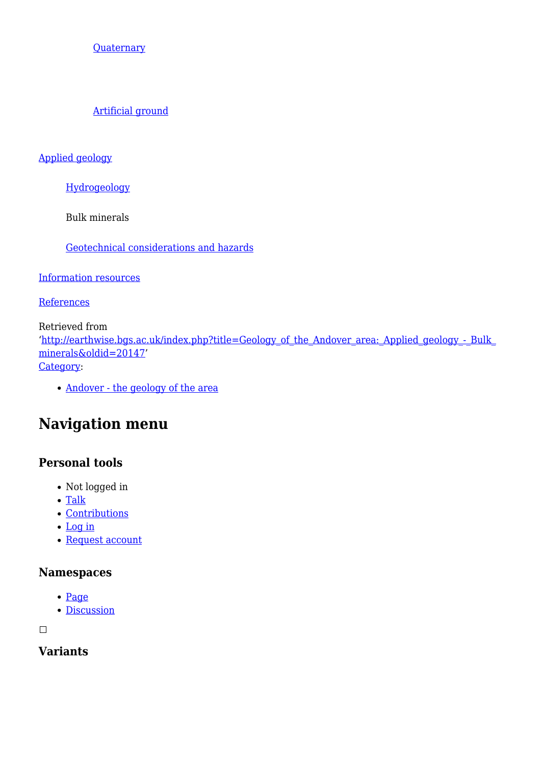**[Quaternary](http://earthwise.bgs.ac.uk/index.php/Geology_of_the_Andover_area:_Exposed_strata_-_Quaternary)** 

[Artificial ground](http://earthwise.bgs.ac.uk/index.php/Geology_of_the_Andover_area:_Exposed_strata_-_Artificial_ground)

[Applied geology](http://earthwise.bgs.ac.uk/index.php/Geology_of_the_Andover_area:_Applied_geology_-_Hydrogeology)

[Hydrogeology](http://earthwise.bgs.ac.uk/index.php/Geology_of_the_Andover_area:_Applied_geology_-_Hydrogeology)

Bulk minerals

[Geotechnical considerations and hazards](http://earthwise.bgs.ac.uk/index.php/Geology_of_the_Andover_area:_Applied_geology_-_Geotechnical_considerations_and_hazards)

[Information resources](http://earthwise.bgs.ac.uk/index.php/Geology_of_the_Andover_area:_Information_resources)

**[References](http://earthwise.bgs.ac.uk/index.php/Geology_of_the_Andover_area:_References)** 

Retrieved from '[http://earthwise.bgs.ac.uk/index.php?title=Geology\\_of\\_the\\_Andover\\_area:\\_Applied\\_geology\\_-\\_Bulk\\_](http://earthwise.bgs.ac.uk/index.php?title=Geology_of_the_Andover_area:_Applied_geology_-_Bulk_minerals&oldid=20147) [minerals&oldid=20147'](http://earthwise.bgs.ac.uk/index.php?title=Geology_of_the_Andover_area:_Applied_geology_-_Bulk_minerals&oldid=20147) [Category](http://earthwise.bgs.ac.uk/index.php/Special:Categories):

• [Andover - the geology of the area](http://earthwise.bgs.ac.uk/index.php/Category:Andover_-_the_geology_of_the_area)

# **Navigation menu**

# **Personal tools**

- Not logged in
- $\bullet$  [Talk](http://earthwise.bgs.ac.uk/index.php/Special:MyTalk)
- [Contributions](http://earthwise.bgs.ac.uk/index.php/Special:MyContributions)
- [Log in](http://earthwise.bgs.ac.uk/index.php?title=Special:UserLogin&returnto=Geology+of+the+Andover+area%3A+Applied+geology+-+Bulk+minerals&returntoquery=action%3Dmpdf)
- [Request account](http://earthwise.bgs.ac.uk/index.php/Special:RequestAccount)

### **Namespaces**

- [Page](http://earthwise.bgs.ac.uk/index.php/Geology_of_the_Andover_area:_Applied_geology_-_Bulk_minerals)
- [Discussion](http://earthwise.bgs.ac.uk/index.php?title=Talk:Geology_of_the_Andover_area:_Applied_geology_-_Bulk_minerals&action=edit&redlink=1)

 $\Box$ 

**Variants**